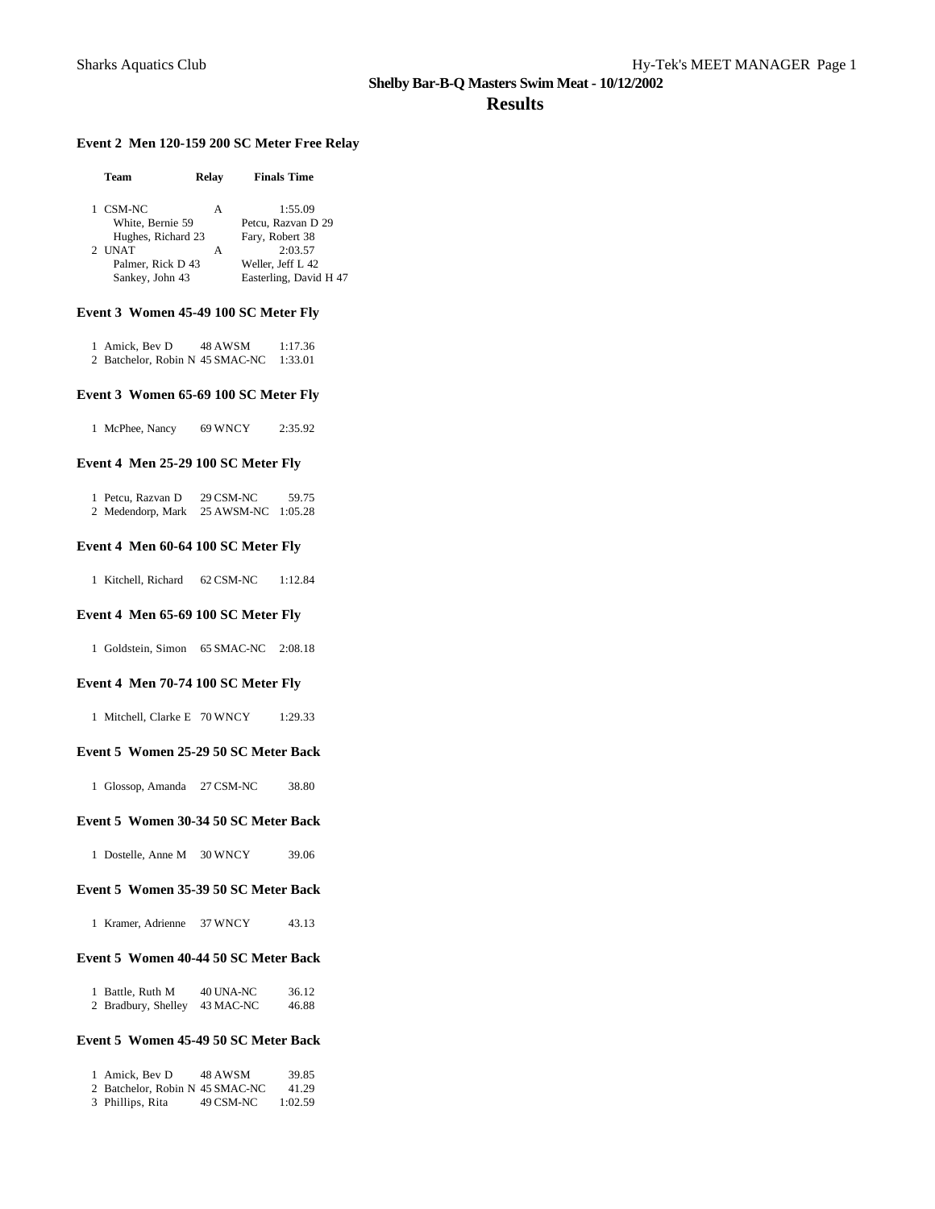### **Results**

### **Event 2 Men 120-159 200 SC Meter Free Relay**

| Team               | Relav | <b>Finals Time</b>     |
|--------------------|-------|------------------------|
| CSM-NC             | А     | 1:55.09                |
| White, Bernie 59   |       | Petcu, Razvan D 29     |
| Hughes, Richard 23 |       | Fary, Robert 38        |
| 2 UNAT             | А     | 2:03.57                |
| Palmer, Rick D 43  |       | Weller, Jeff L 42      |
| Sankey, John 43    |       | Easterling, David H 47 |
|                    |       |                        |

### **Event 3 Women 45-49 100 SC Meter Fly**

| 1 Amick, Bev D                  | 48 AWSM | 1:17.36 |
|---------------------------------|---------|---------|
| 2 Batchelor, Robin N 45 SMAC-NC |         | 1:33.01 |

#### **Event 3 Women 65-69 100 SC Meter Fly**

1 McPhee, Nancy 69 WNCY 2:35.92

#### **Event 4 Men 25-29 100 SC Meter Fly**

| 1 Petcu, Razvan D | 29 CSM-NC          | 59.75 |
|-------------------|--------------------|-------|
| 2 Medendorp, Mark | 25 AWSM-NC 1:05.28 |       |

### **Event 4 Men 60-64 100 SC Meter Fly**

1 Kitchell, Richard 62 CSM-NC 1:12.84

### **Event 4 Men 65-69 100 SC Meter Fly**

1 Goldstein, Simon 65 SMAC-NC 2:08.18

#### **Event 4 Men 70-74 100 SC Meter Fly**

1 Mitchell, Clarke E 70 WNCY 1:29.33

### **Event 5 Women 25-29 50 SC Meter Back**

1 Glossop, Amanda 27 CSM-NC 38.80

#### **Event 5 Women 30-34 50 SC Meter Back**

1 Dostelle, Anne M 30 WNCY 39.06

### **Event 5 Women 35-39 50 SC Meter Back**

1 Kramer, Adrienne 37 WNCY 43.13

### **Event 5 Women 40-44 50 SC Meter Back**

| 1 Battle, Ruth M    | 40 UNA-NC | 36.12 |
|---------------------|-----------|-------|
| 2 Bradbury, Shelley | 43 MAC-NC | 46.88 |

### **Event 5 Women 45-49 50 SC Meter Back**

| 1 Amick. Bev D                  | 48 AWSM   | 39.85   |
|---------------------------------|-----------|---------|
| 2 Batchelor, Robin N 45 SMAC-NC |           | 41.29   |
| 3 Phillips, Rita                | 49 CSM-NC | 1:02.59 |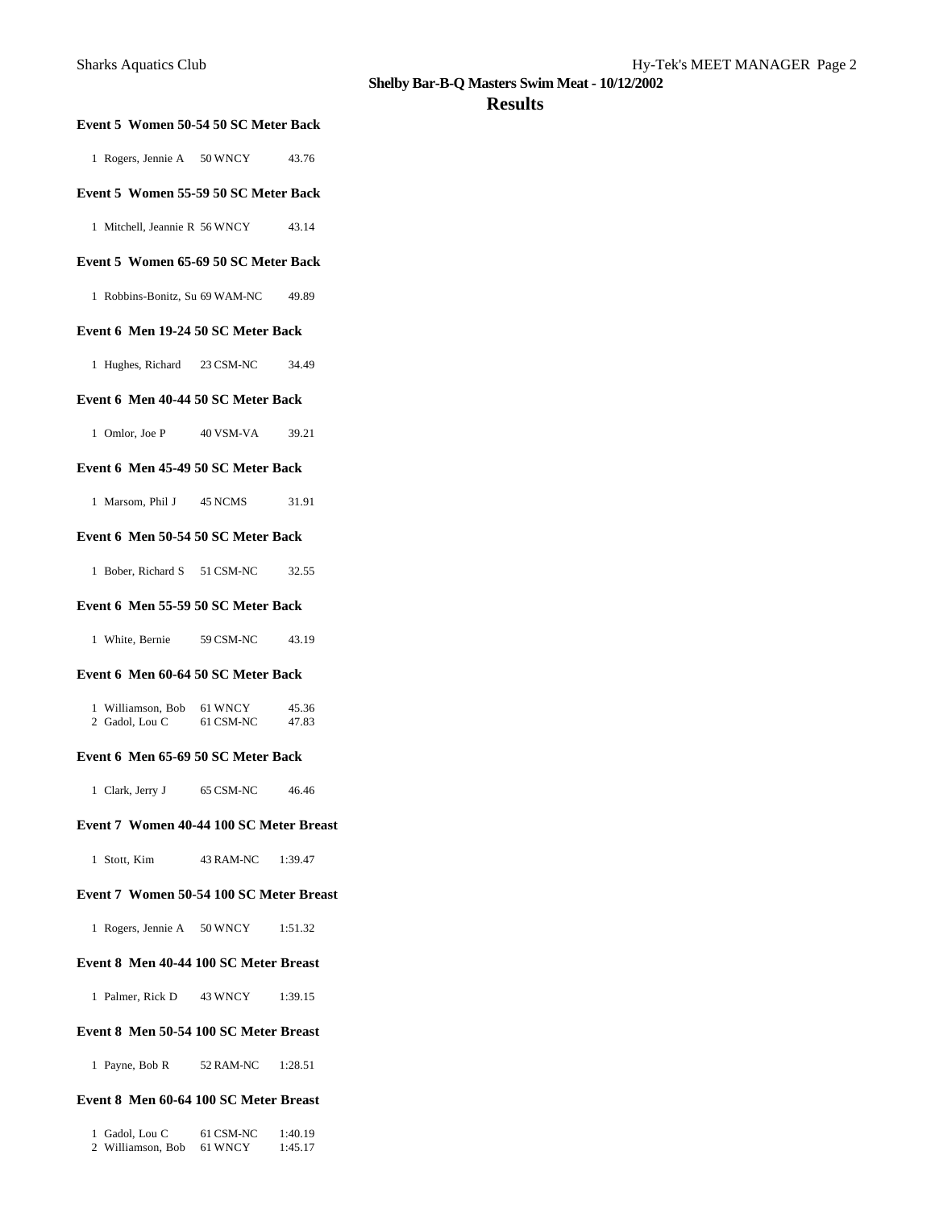### **Results**

| Event 5 Women 50-54 50 SC Meter Back        |           |                |
|---------------------------------------------|-----------|----------------|
| 1 Rogers, Jennie A 50 WNCY                  |           | 43.76          |
| Event 5 Women 55-59 50 SC Meter Back        |           |                |
| 1 Mitchell, Jeannie R 56 WNCY               |           | 43.14          |
| Event 5 Women 65-69 50 SC Meter Back        |           |                |
| 1 Robbins-Bonitz, Su 69 WAM-NC              |           | 49.89          |
| Event 6 Men 19-24 50 SC Meter Back          |           |                |
| Hughes, Richard 23 CSM-NC<br>1              |           | 34.49          |
| Event 6 Men 40-44 50 SC Meter Back          |           |                |
| 1 Omlor, Joe P 40 VSM-VA                    |           | 39.21          |
| Event 6 Men 45-49 50 SC Meter Back          |           |                |
| 1 Marsom, Phil J 45 NCMS                    |           | 31.91          |
| Event 6 Men 50-54 50 SC Meter Back          |           |                |
| 1 Bober, Richard S 51 CSM-NC                |           | 32.55          |
| Event 6 Men 55-59 50 SC Meter Back          |           |                |
| 1 White, Bernie 59 CSM-NC                   |           | 43.19          |
| Event 6 Men 60-64 50 SC Meter Back          |           |                |
| 1 Williamson, Bob 61 WNCY<br>2 Gadol, Lou C | 61 CSM-NC | 45.36<br>47.83 |
| Event 6 Men 65-69 50 SC Meter Back          |           |                |
| 1 Clark, Jerry J 65 CSM-NC 46.46            |           |                |
| Event 7 Women 40-44 100 SC Meter Breast     |           |                |
| 1 Stott, Kim 43 RAM-NC 1:39.47              |           |                |
| Event 7 Women 50-54 100 SC Meter Breast     |           |                |
| 1 Rogers, Jennie A 50 WNCY 1:51.32          |           |                |
| Event 8 Men 40-44 100 SC Meter Breast       |           |                |
| 1 Palmer, Rick D 43 WNCY 1:39.15            |           |                |
| Event 8 Men 50-54 100 SC Meter Breast       |           |                |
| 1 Payne, Bob R 52 RAM-NC 1:28.51            |           |                |
| Event 8 Men 60-64 100 SC Meter Breast       |           |                |

| 1 Gadol, Lou C    | 61 CSM-NC | 1:40.19 |
|-------------------|-----------|---------|
| 2 Williamson, Bob | 61 WNCY   | 1:45.17 |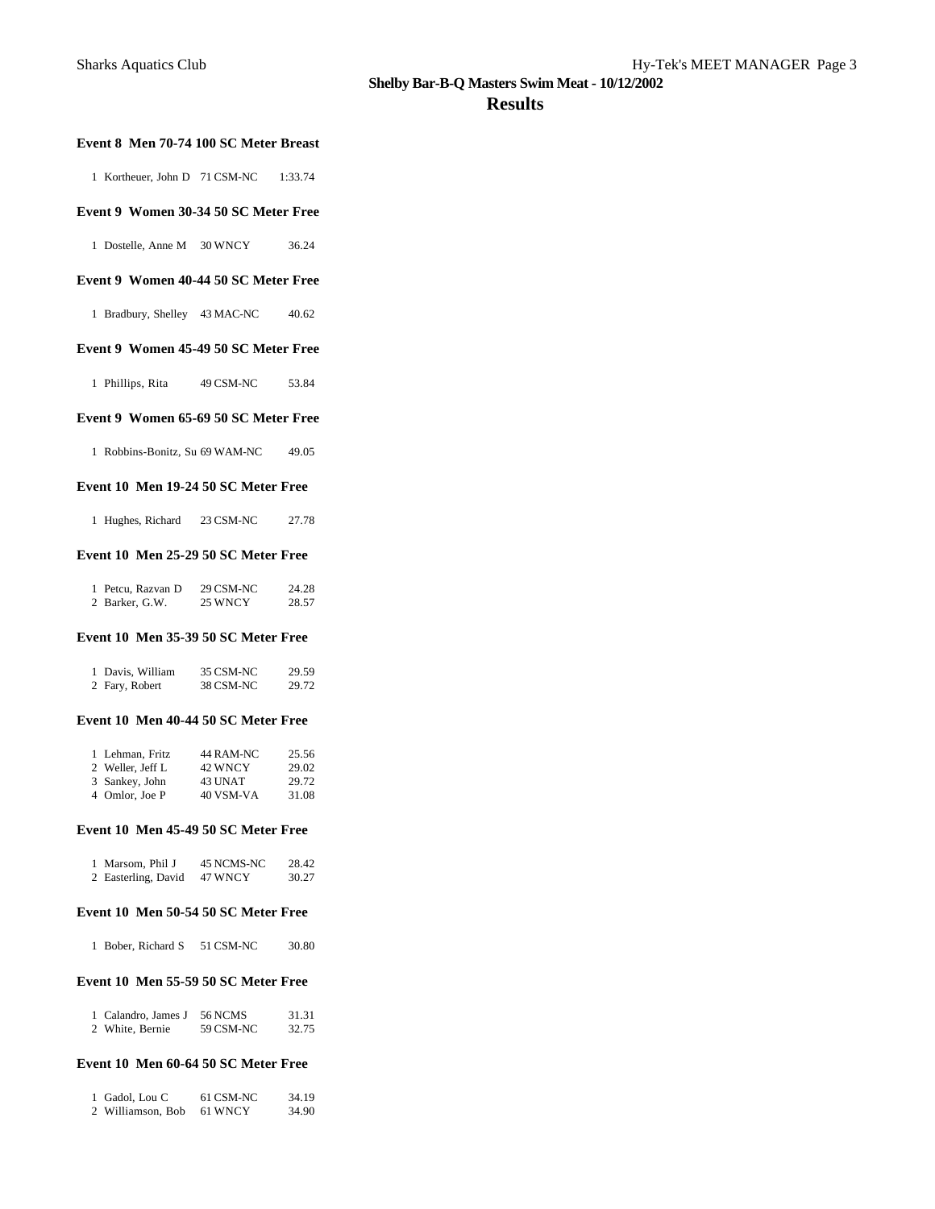### **Results**

### **Event 8 Men 70-74 100 SC Meter Breast**

1 Kortheuer, John D 71 CSM-NC 1:33.74

### **Event 9 Women 30-34 50 SC Meter Free**

1 Dostelle, Anne M 30 WNCY 36.24

### **Event 9 Women 40-44 50 SC Meter Free**

1 Bradbury, Shelley 43 MAC-NC 40.62

### **Event 9 Women 45-49 50 SC Meter Free**

1 Phillips, Rita 49 CSM-NC 53.84

#### **Event 9 Women 65-69 50 SC Meter Free**

1 Robbins-Bonitz, Su 69 WAM-NC 49.05

### **Event 10 Men 19-24 50 SC Meter Free**

1 Hughes, Richard 23 CSM-NC 27.78

### **Event 10 Men 25-29 50 SC Meter Free**

| 1 Petcu, Razvan D | 29 CSM-NC | 24.28 |
|-------------------|-----------|-------|
| 2 Barker, G.W.    | 25 WNCY   | 28.57 |

### **Event 10 Men 35-39 50 SC Meter Free**

| 1 Davis, William | 35 CSM-NC | 29.59 |
|------------------|-----------|-------|
| 2 Fary, Robert   | 38 CSM-NC | 29.72 |

#### **Event 10 Men 40-44 50 SC Meter Free**

| 1 Lehman, Fritz  | 44 RAM-NC | 25.56 |
|------------------|-----------|-------|
| 2 Weller, Jeff L | 42 WNCY   | 29.02 |
| 3 Sankey, John   | 43 UNAT   | 29.72 |
| 4 Omlor, Joe P   | 40 VSM-VA | 31.08 |

#### **Event 10 Men 45-49 50 SC Meter Free**

| 1 Marsom, Phil J    | 45 NCMS-NC | 28.42 |
|---------------------|------------|-------|
| 2 Easterling, David | 47 WNCY    | 30.27 |

### **Event 10 Men 50-54 50 SC Meter Free**

1 Bober, Richard S 51 CSM-NC 30.80

### **Event 10 Men 55-59 50 SC Meter Free**

| 1 Calandro, James J | 56 NCMS   | 31.31 |
|---------------------|-----------|-------|
| 2 White, Bernie     | 59 CSM-NC | 32.75 |

### **Event 10 Men 60-64 50 SC Meter Free**

| 1 Gadol, Lou C    | 61 CSM-NC | 34.19 |
|-------------------|-----------|-------|
| 2 Williamson, Bob | 61 WNCY   | 34.90 |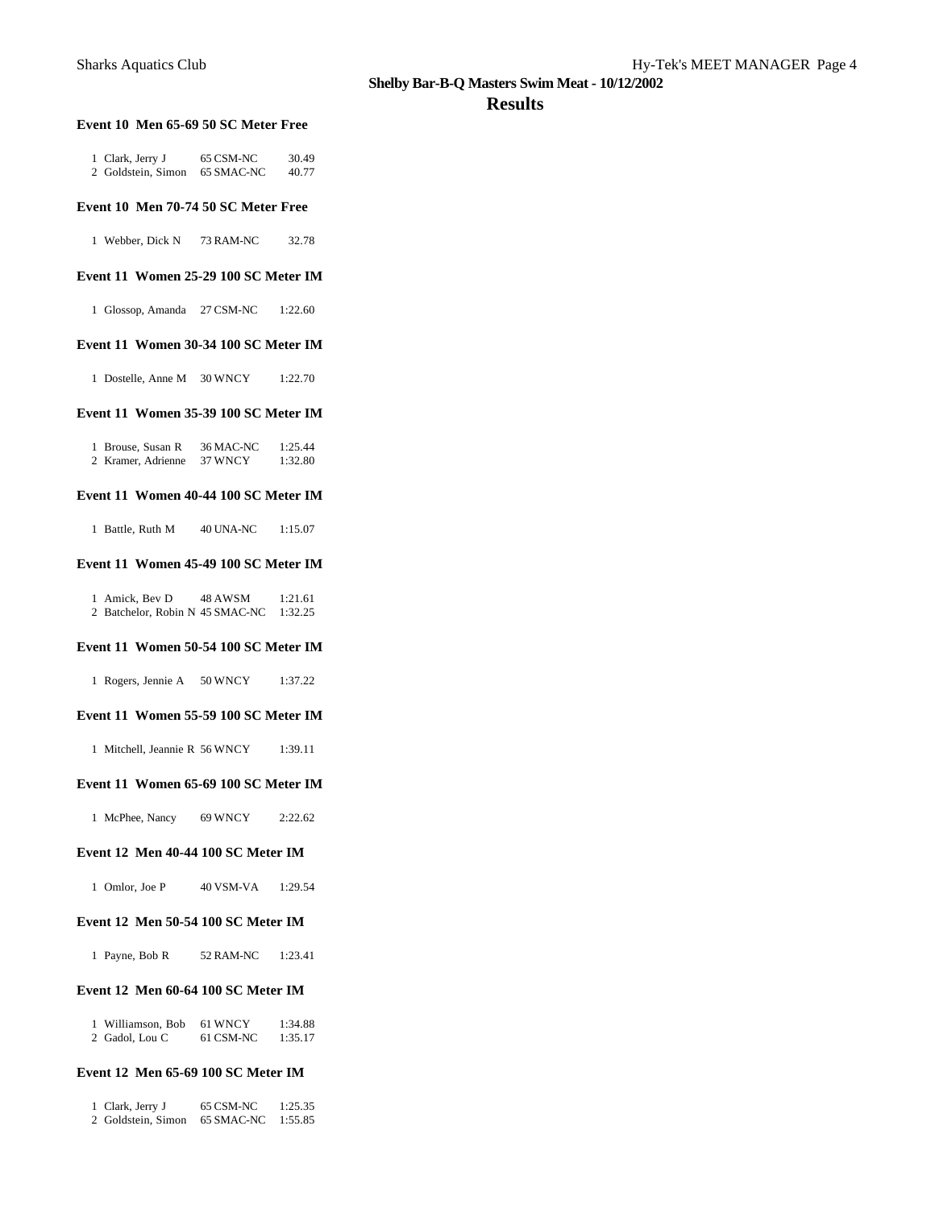#### **Results**

### **Event 10 Men 65-69 50 SC Meter Free**

| 1 Clark, Jerry J   | 65 CSM-NC  | 30.49 |
|--------------------|------------|-------|
| 2 Goldstein, Simon | 65 SMAC-NC | 40.77 |

### **Event 10 Men 70-74 50 SC Meter Free**

1 Webber, Dick N 73 RAM-NC 32.78

### **Event 11 Women 25-29 100 SC Meter IM**

1 Glossop, Amanda 27 CSM-NC 1:22.60

### **Event 11 Women 30-34 100 SC Meter IM**

1 Dostelle, Anne M 30 WNCY 1:22.70

### **Event 11 Women 35-39 100 SC Meter IM**

| 1 Brouse, Susan R  | 36 MAC-NC | 1:25.44 |
|--------------------|-----------|---------|
| 2 Kramer, Adrienne | 37 WNCY   | 1:32.80 |

#### **Event 11 Women 40-44 100 SC Meter IM**

1 Battle, Ruth M 40 UNA-NC 1:15.07

### **Event 11 Women 45-49 100 SC Meter IM**

| 1 Amick, Bev D                  | 48 AWSM | 1:21.61 |
|---------------------------------|---------|---------|
| 2 Batchelor, Robin N 45 SMAC-NC |         | 1:32.25 |

### **Event 11 Women 50-54 100 SC Meter IM**

1 Rogers, Jennie A 50 WNCY 1:37.22

### **Event 11 Women 55-59 100 SC Meter IM**

1 Mitchell, Jeannie R 56 WNCY 1:39.11

### **Event 11 Women 65-69 100 SC Meter IM**

1 McPhee, Nancy 69 WNCY 2:22.62

### **Event 12 Men 40-44 100 SC Meter IM**

| 1 Omlor. Joe P | 40 VSM-VA | 1:29.54 |
|----------------|-----------|---------|
|----------------|-----------|---------|

#### **Event 12 Men 50-54 100 SC Meter IM**

| 52 RAM-NC<br>1 Payne, Bob R | 1:23.41 |
|-----------------------------|---------|
|-----------------------------|---------|

### **Event 12 Men 60-64 100 SC Meter IM**

| Williamson, Bob | 61 WNCY   | 1:34.88 |
|-----------------|-----------|---------|
| 2 Gadol, Lou C  | 61 CSM-NC | 1:35.17 |

### **Event 12 Men 65-69 100 SC Meter IM**

| 1 Clark, Jerry J   | 65 CSM-NC  | 1:25.35 |
|--------------------|------------|---------|
| 2 Goldstein, Simon | 65 SMAC-NC | 1:55.85 |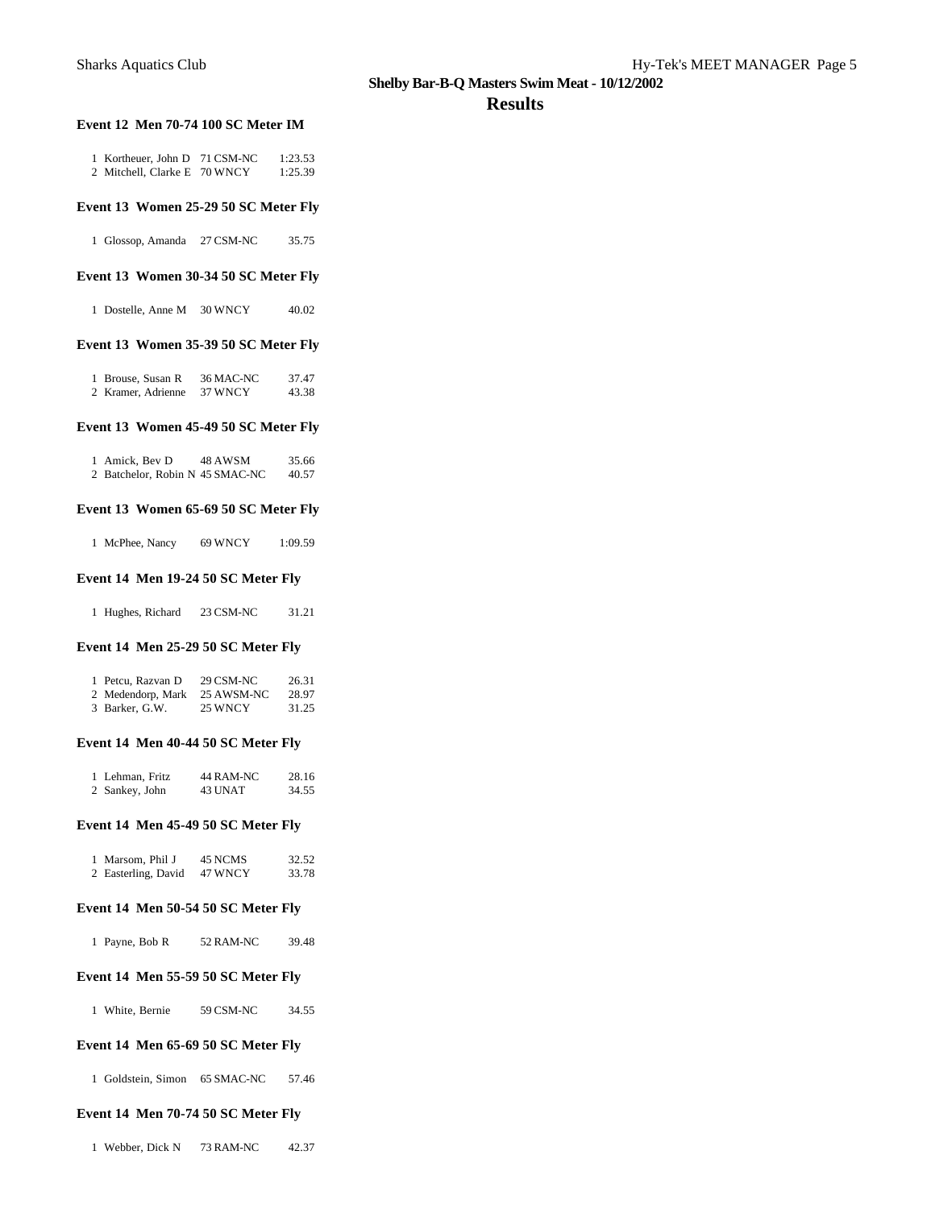### **Results**

#### **Event 12 Men 70-74 100 SC Meter IM**

| 1 Kortheuer, John D          | 71 CSM-NC | 1:23.53 |
|------------------------------|-----------|---------|
| 2 Mitchell, Clarke E 70 WNCY |           | 1:25.39 |

### **Event 13 Women 25-29 50 SC Meter Fly**

| 1 Glossop, Amanda |  |  | 27 CSM-NC | 35.75 |
|-------------------|--|--|-----------|-------|
|-------------------|--|--|-----------|-------|

### **Event 13 Women 30-34 50 SC Meter Fly**

1 Dostelle, Anne M 30 WNCY 40.02

### **Event 13 Women 35-39 50 SC Meter Fly**

| 1 Brouse, Susan R  | 36 MAC-NC | 37.47 |
|--------------------|-----------|-------|
| 2 Kramer, Adrienne | 37 WNCY   | 43.38 |

### **Event 13 Women 45-49 50 SC Meter Fly**

| 1 Amick, Bev D                  | 48 AWSM | 35.66 |
|---------------------------------|---------|-------|
| 2 Batchelor, Robin N 45 SMAC-NC |         | 40.57 |

### **Event 13 Women 65-69 50 SC Meter Fly**

1 McPhee, Nancy 69 WNCY 1:09.59

### **Event 14 Men 19-24 50 SC Meter Fly**

1 Hughes, Richard 23 CSM-NC 31.21

### **Event 14 Men 25-29 50 SC Meter Fly**

| 1 Petcu, Razvan D | 29 CSM-NC  | 26.31 |
|-------------------|------------|-------|
| 2 Medendorp, Mark | 25 AWSM-NC | 28.97 |
| 3 Barker, G.W.    | 25 WNCY    | 31.25 |

### **Event 14 Men 40-44 50 SC Meter Fly**

| 1 Lehman, Fritz | 44 RAM-NC | 28.16 |
|-----------------|-----------|-------|
| 2 Sankey, John  | 43 UNAT   | 34.55 |

#### **Event 14 Men 45-49 50 SC Meter Fly**

| 1 Marsom, Phil J    | 45 NCMS | 32.52 |
|---------------------|---------|-------|
| 2 Easterling, David | 47 WNCY | 33.78 |

#### **Event 14 Men 50-54 50 SC Meter Fly**

|  |  | 1 Payne, Bob R |  | 52 RAM-NC | 39.48 |
|--|--|----------------|--|-----------|-------|
|--|--|----------------|--|-----------|-------|

#### **Event 14 Men 55-59 50 SC Meter Fly**

1 White, Bernie 59 CSM-NC 34.55

### **Event 14 Men 65-69 50 SC Meter Fly**

1 Goldstein, Simon 65 SMAC-NC 57.46

### **Event 14 Men 70-74 50 SC Meter Fly**

1 Webber, Dick N 73 RAM-NC 42.37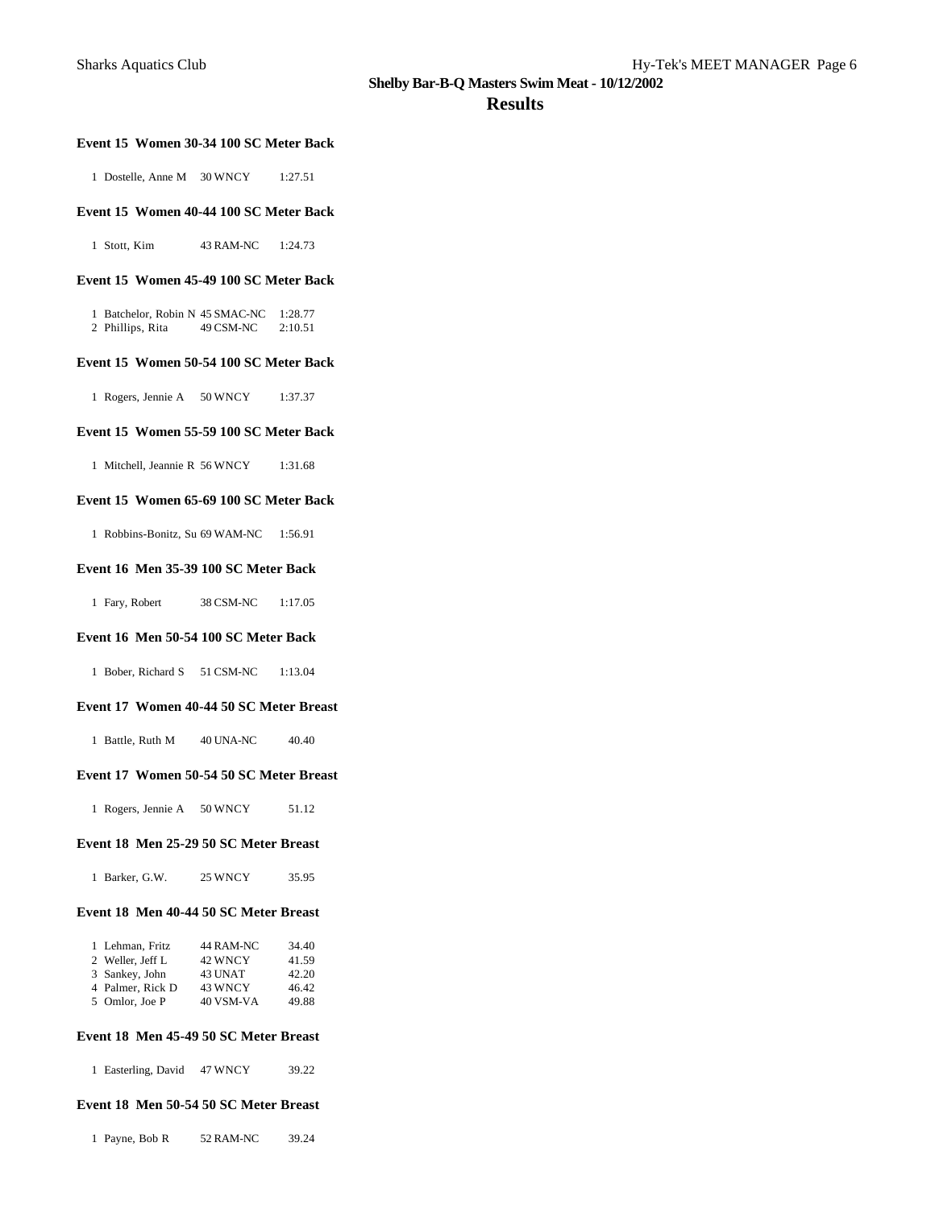### **Results**

### **Event 15 Women 30-34 100 SC Meter Back**

1 Dostelle, Anne M 30 WNCY 1:27.51

### **Event 15 Women 40-44 100 SC Meter Back**

1 Stott, Kim 43 RAM-NC 1:24.73

### **Event 15 Women 45-49 100 SC Meter Back**

1 Batchelor, Robin N 45 SMAC-NC 1:28.77<br>2 Phillips, Rita 49 CSM-NC 2:10.51 2 Phillips, Rita

#### **Event 15 Women 50-54 100 SC Meter Back**

1 Rogers, Jennie A 50 WNCY 1:37.37

#### **Event 15 Women 55-59 100 SC Meter Back**

1 Mitchell, Jeannie R 56 WNCY 1:31.68

#### **Event 15 Women 65-69 100 SC Meter Back**

1 Robbins-Bonitz, Su 69 WAM-NC 1:56.91

#### **Event 16 Men 35-39 100 SC Meter Back**

1 Fary, Robert 38 CSM-NC 1:17.05

### **Event 16 Men 50-54 100 SC Meter Back**

1 Bober, Richard S 51 CSM-NC 1:13.04

### **Event 17 Women 40-44 50 SC Meter Breast**

1 Battle, Ruth M 40 UNA-NC 40.40

### **Event 17 Women 50-54 50 SC Meter Breast**

1 Rogers, Jennie A 50 WNCY 51.12

### **Event 18 Men 25-29 50 SC Meter Breast**

| 25 WNCY<br>1 Barker, G.W. | 35.95 |
|---------------------------|-------|
|---------------------------|-------|

### **Event 18 Men 40-44 50 SC Meter Breast**

| 1 Lehman, Fritz  | 44 RAM-NC | 34.40 |
|------------------|-----------|-------|
| 2 Weller, Jeff L | 42 WNCY   | 41.59 |
| 3 Sankey, John   | 43 UNAT   | 42.20 |
| 4 Palmer, Rick D | 43 WNCY   | 46.42 |
| 5 Omlor, Joe P   | 40 VSM-VA | 49.88 |

#### **Event 18 Men 45-49 50 SC Meter Breast**

1 Easterling, David 47 WNCY 39.22

### **Event 18 Men 50-54 50 SC Meter Breast**

1 Payne, Bob R 52 RAM-NC 39.24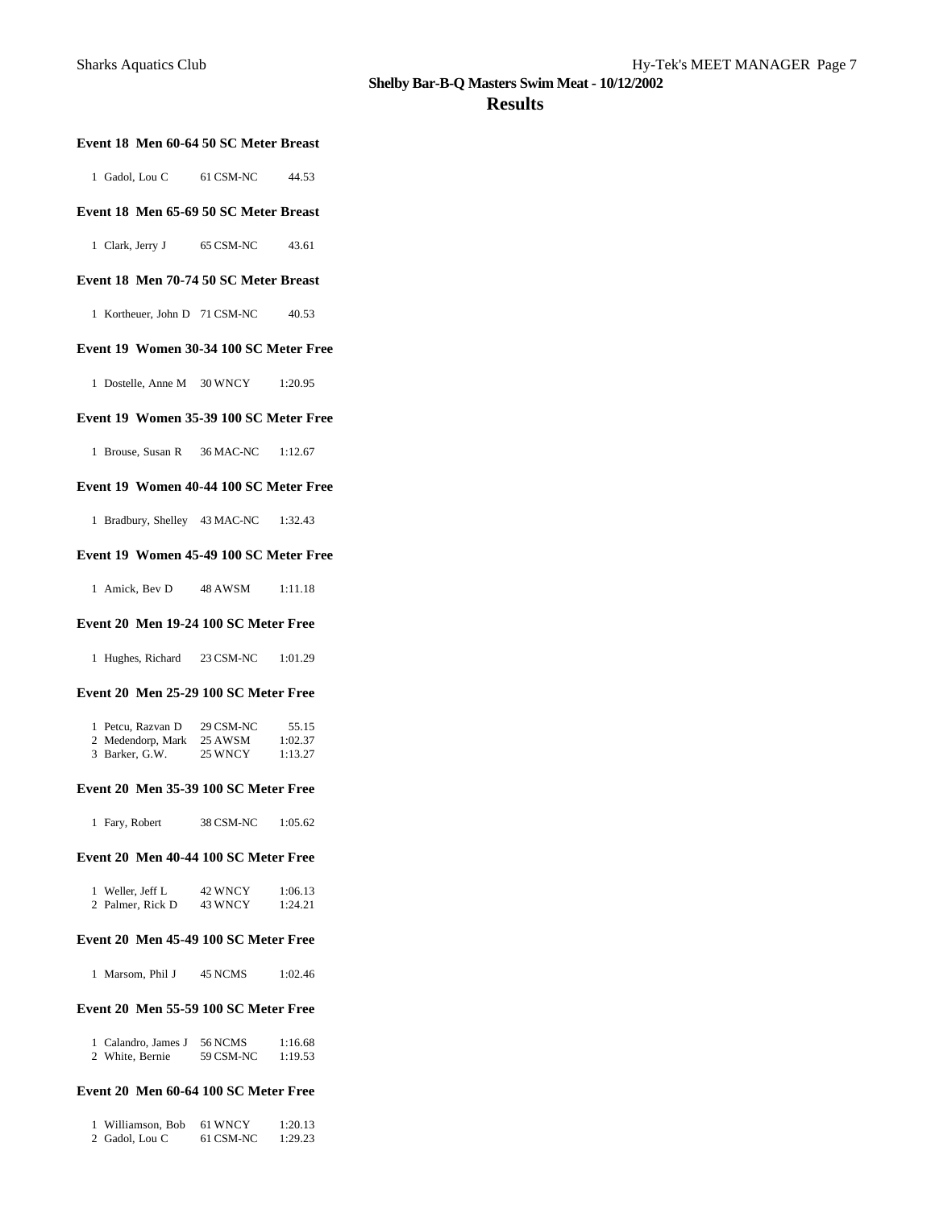### **Results**

### **Event 18 Men 60-64 50 SC Meter Breast**

| 1 Gadol, Lou C | 61 CSM-NC | 44.53 |
|----------------|-----------|-------|
|                |           |       |

### **Event 18 Men 65-69 50 SC Meter Breast**

1 Clark, Jerry J 65 CSM-NC 43.61

### **Event 18 Men 70-74 50 SC Meter Breast**

1 Kortheuer, John D 71 CSM-NC 40.53

### **Event 19 Women 30-34 100 SC Meter Free**

1 Dostelle, Anne M 30 WNCY 1:20.95

#### **Event 19 Women 35-39 100 SC Meter Free**

1 Brouse, Susan R 36 MAC-NC 1:12.67

#### **Event 19 Women 40-44 100 SC Meter Free**

1 Bradbury, Shelley 43 MAC-NC 1:32.43

### **Event 19 Women 45-49 100 SC Meter Free**

1 Amick, Bev D 48 AWSM 1:11.18

#### **Event 20 Men 19-24 100 SC Meter Free**

1 Hughes, Richard 23 CSM-NC 1:01.29

#### **Event 20 Men 25-29 100 SC Meter Free**

| 1 Petcu, Razvan D | 29 CSM-NC | 55.15   |
|-------------------|-----------|---------|
| 2 Medendorp, Mark | 25 AWSM   | 1:02.37 |
| 3 Barker, G.W.    | 25 WNCY   | 1:13.27 |

#### **Event 20 Men 35-39 100 SC Meter Free**

| 1 Fary, Robert | 38 CSM-NC | 1:05.62 |
|----------------|-----------|---------|
|                |           |         |

### **Event 20 Men 40-44 100 SC Meter Free**

| 1 Weller, Jeff L | 42 WNCY | 1:06.13 |
|------------------|---------|---------|
| 2 Palmer, Rick D | 43 WNCY | 1:24.21 |

### **Event 20 Men 45-49 100 SC Meter Free**

|  | 1 Marsom, Phil J |  | 45 NCMS | 1:02.46 |
|--|------------------|--|---------|---------|
|--|------------------|--|---------|---------|

### **Event 20 Men 55-59 100 SC Meter Free**

| 1 Calandro, James J | 56 NCMS   | 1:16.68 |
|---------------------|-----------|---------|
| 2 White, Bernie     | 59 CSM-NC | 1:19.53 |

#### **Event 20 Men 60-64 100 SC Meter Free**

| 1 Williamson, Bob | 61 WNCY   | 1:20.13 |
|-------------------|-----------|---------|
| 2 Gadol, Lou C    | 61 CSM-NC | 1:29.23 |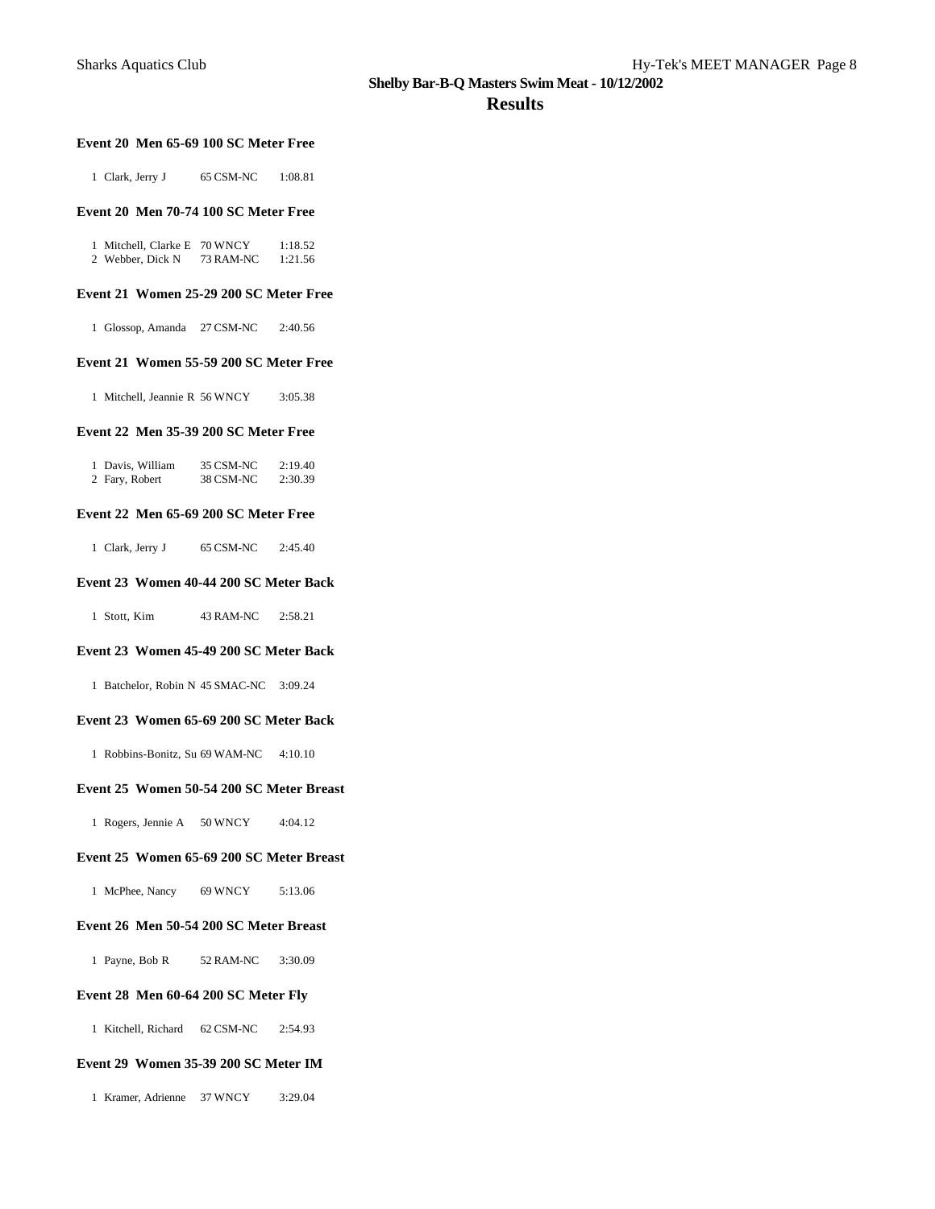### **Results**

### **Event 20 Men 65-69 100 SC Meter Free**

1 Clark, Jerry J 65 CSM-NC 1:08.81

### **Event 20 Men 70-74 100 SC Meter Free**

1 Mitchell, Clarke E 70 WNCY 1:18.52<br>2 Webber, Dick N 73 RAM-NC 1:21.56 2 Webber, Dick N 73 RAM-NC

#### **Event 21 Women 25-29 200 SC Meter Free**

1 Glossop, Amanda 27 CSM-NC 2:40.56

#### **Event 21 Women 55-59 200 SC Meter Free**

1 Mitchell, Jeannie R 56 WNCY 3:05.38

#### **Event 22 Men 35-39 200 SC Meter Free**

| 1 Davis, William | 35 CSM-NC | 2:19.40 |
|------------------|-----------|---------|
| 2 Fary, Robert   | 38 CSM-NC | 2:30.39 |

### **Event 22 Men 65-69 200 SC Meter Free**

|  | 1 Clark, Jerry J | 65 CSM-NC | 2:45.40 |
|--|------------------|-----------|---------|
|--|------------------|-----------|---------|

### **Event 23 Women 40-44 200 SC Meter Back**

1 Stott, Kim 43 RAM-NC 2:58.21

#### **Event 23 Women 45-49 200 SC Meter Back**

1 Batchelor, Robin N 45 SMAC-NC 3:09.24

#### **Event 23 Women 65-69 200 SC Meter Back**

1 Robbins-Bonitz, Su 69 WAM-NC 4:10.10

#### **Event 25 Women 50-54 200 SC Meter Breast**

1 Rogers, Jennie A 50 WNCY 4:04.12

#### **Event 25 Women 65-69 200 SC Meter Breast**

1 McPhee, Nancy 69 WNCY 5:13.06

### **Event 26 Men 50-54 200 SC Meter Breast**

1 Payne, Bob R 52 RAM-NC 3:30.09

#### **Event 28 Men 60-64 200 SC Meter Fly**

1 Kitchell, Richard 62 CSM-NC 2:54.93

#### **Event 29 Women 35-39 200 SC Meter IM**

1 Kramer, Adrienne 37 WNCY 3:29.04